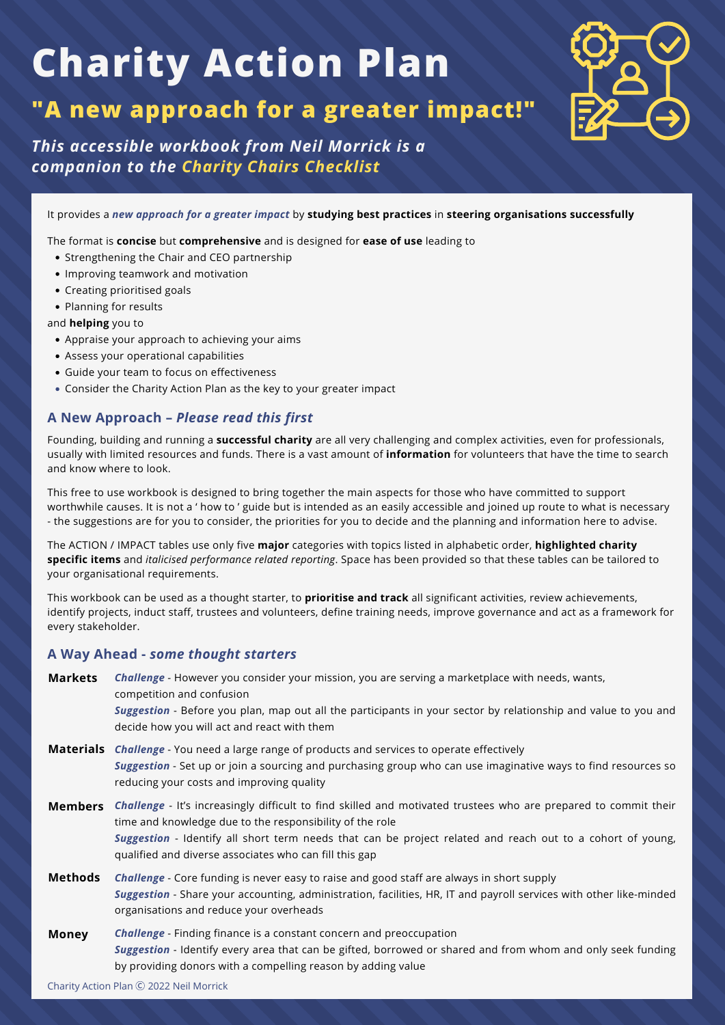### **"A new approach for a greater impact!"**



*This accessible workbook from Neil Morrick is a companion to the Charity Chairs Checklist*

It provides a *new approach for a greater impact* by **studying best practices** in **steering organisations successfully**

The format is **concise** but **comprehensive** and is designed for **ease of use** leading to

- Strengthening the Chair and CEO partnership
- Improving teamwork and motivation
- Creating prioritised goals
- Planning for results

and **helping** you to

- Appraise your approach to achieving your aims
- Assess your operational capabilities
- Guide your team to focus on effectiveness
- Consider the Charity Action Plan as the key to your greater impact

### **A New Approach –** *Please read this first*

Founding, building and running a **successful charity** are all very challenging and complex activities, even for professionals, usually with limited resources and funds. There is a vast amount of **information** for volunteers that have the time to search and know where to look.

This free to use workbook is designed to bring together the main aspects for those who have committed to support worthwhile causes. It is not a ' how to ' guide but is intended as an easily accessible and joined up route to what is necessary - the suggestions are for you to consider, the priorities for you to decide and the planning and information here to advise.

The ACTION / IMPACT tables use only five **major** categories with topics listed in alphabetic order, **highlighted charity specific items** and *italicised performance related reporting*. Space has been provided so that these tables can be tailored to your organisational requirements.

This workbook can be used as a thought starter, to **prioritise and track** all significant activities, review achievements, identify projects, induct staff, trustees and volunteers, define training needs, improve governance and act as a framework for every stakeholder.

### **A Way Ahead -** *some thought starters*

| <b>Markets</b> | Challenge - However you consider your mission, you are serving a marketplace with needs, wants,<br>competition and confusion<br>Suggestion - Before you plan, map out all the participants in your sector by relationship and value to you and<br>decide how you will act and react with them                                                                      |
|----------------|--------------------------------------------------------------------------------------------------------------------------------------------------------------------------------------------------------------------------------------------------------------------------------------------------------------------------------------------------------------------|
|                | <b>Materials</b> <i>Challenge</i> - You need a large range of products and services to operate effectively<br>Suggestion - Set up or join a sourcing and purchasing group who can use imaginative ways to find resources so<br>reducing your costs and improving quality                                                                                           |
|                | <b>Members</b> Challenge - It's increasingly difficult to find skilled and motivated trustees who are prepared to commit their<br>time and knowledge due to the responsibility of the role<br>Suggestion - Identify all short term needs that can be project related and reach out to a cohort of young,<br>qualified and diverse associates who can fill this gap |
| Methods        | <b>Challenge</b> - Core funding is never easy to raise and good staff are always in short supply<br>Suggestion - Share your accounting, administration, facilities, HR, IT and payroll services with other like-minded<br>organisations and reduce your overheads                                                                                                  |
| <b>Money</b>   | <b>Challenge</b> - Finding finance is a constant concern and preoccupation<br>Suggestion - Identify every area that can be gifted, borrowed or shared and from whom and only seek funding                                                                                                                                                                          |

by providing donors with a compelling reason by adding value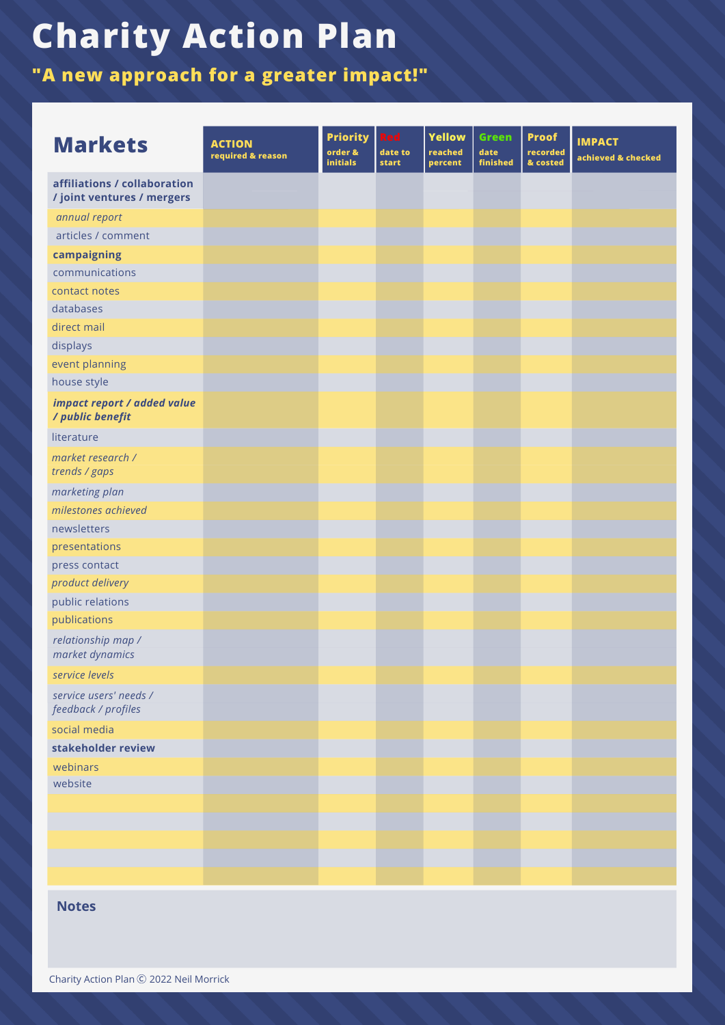**"A new approach for a greater impact!"**

| <b>Markets</b>                                             | <b>ACTION</b><br>required & reason | <b>Priority</b><br>order &<br><b>initials</b> | <b>Red</b><br>date to<br>start | <b>Yellow</b><br>reached<br>percent | <b>Green</b><br>date<br>finished | <b>Proof</b><br>recorded<br>& costed | <b>IMPACT</b><br>achieved & checked |
|------------------------------------------------------------|------------------------------------|-----------------------------------------------|--------------------------------|-------------------------------------|----------------------------------|--------------------------------------|-------------------------------------|
| affiliations / collaboration<br>/ joint ventures / mergers |                                    |                                               |                                |                                     |                                  |                                      |                                     |
| annual report                                              |                                    |                                               |                                |                                     |                                  |                                      |                                     |
| articles / comment                                         |                                    |                                               |                                |                                     |                                  |                                      |                                     |
| campaigning                                                |                                    |                                               |                                |                                     |                                  |                                      |                                     |
| communications                                             |                                    |                                               |                                |                                     |                                  |                                      |                                     |
| contact notes                                              |                                    |                                               |                                |                                     |                                  |                                      |                                     |
| databases                                                  |                                    |                                               |                                |                                     |                                  |                                      |                                     |
| direct mail                                                |                                    |                                               |                                |                                     |                                  |                                      |                                     |
| displays                                                   |                                    |                                               |                                |                                     |                                  |                                      |                                     |
| event planning                                             |                                    |                                               |                                |                                     |                                  |                                      |                                     |
| house style                                                |                                    |                                               |                                |                                     |                                  |                                      |                                     |
| impact report / added value<br>/ public benefit            |                                    |                                               |                                |                                     |                                  |                                      |                                     |
| literature                                                 |                                    |                                               |                                |                                     |                                  |                                      |                                     |
| market research /<br>trends / gaps                         |                                    |                                               |                                |                                     |                                  |                                      |                                     |
| marketing plan                                             |                                    |                                               |                                |                                     |                                  |                                      |                                     |
| milestones achieved                                        |                                    |                                               |                                |                                     |                                  |                                      |                                     |
| newsletters                                                |                                    |                                               |                                |                                     |                                  |                                      |                                     |
| presentations                                              |                                    |                                               |                                |                                     |                                  |                                      |                                     |
| press contact                                              |                                    |                                               |                                |                                     |                                  |                                      |                                     |
| product delivery                                           |                                    |                                               |                                |                                     |                                  |                                      |                                     |
| public relations                                           |                                    |                                               |                                |                                     |                                  |                                      |                                     |
| publications                                               |                                    |                                               |                                |                                     |                                  |                                      |                                     |
| relationship map /<br>market dynamics                      |                                    |                                               |                                |                                     |                                  |                                      |                                     |
| service levels                                             |                                    |                                               |                                |                                     |                                  |                                      |                                     |
| service users' needs /<br>feedback / profiles              |                                    |                                               |                                |                                     |                                  |                                      |                                     |
| social media                                               |                                    |                                               |                                |                                     |                                  |                                      |                                     |
| stakeholder review                                         |                                    |                                               |                                |                                     |                                  |                                      |                                     |
| webinars                                                   |                                    |                                               |                                |                                     |                                  |                                      |                                     |
| website                                                    |                                    |                                               |                                |                                     |                                  |                                      |                                     |
|                                                            |                                    |                                               |                                |                                     |                                  |                                      |                                     |
|                                                            |                                    |                                               |                                |                                     |                                  |                                      |                                     |
|                                                            |                                    |                                               |                                |                                     |                                  |                                      |                                     |
|                                                            |                                    |                                               |                                |                                     |                                  |                                      |                                     |
|                                                            |                                    |                                               |                                |                                     |                                  |                                      |                                     |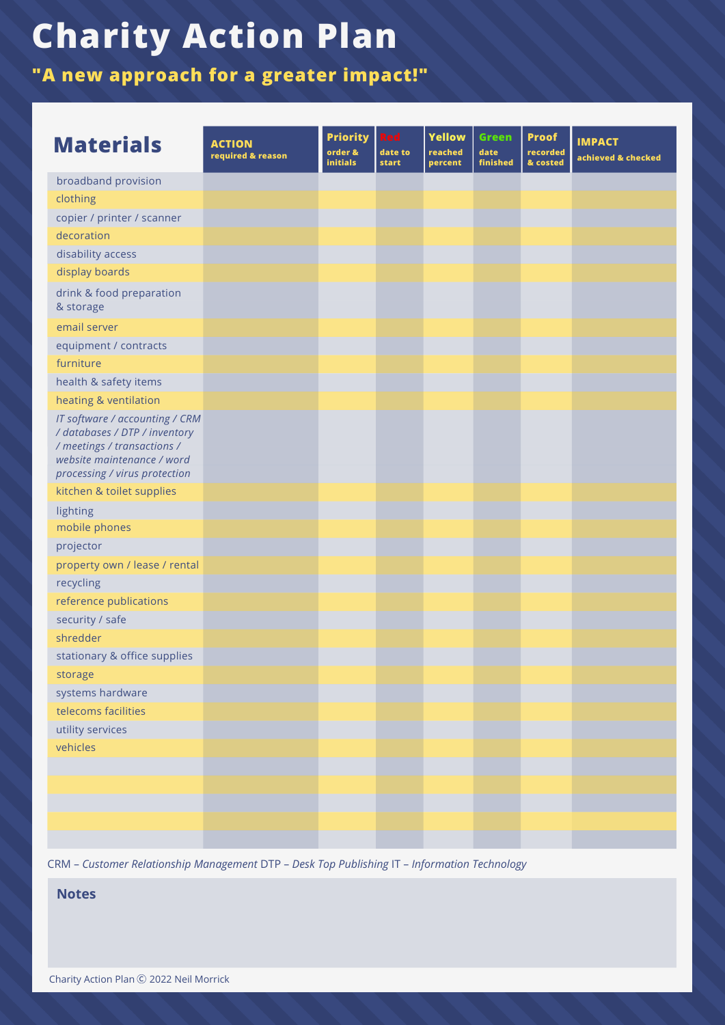**"A new approach for a greater impact!"**

| <b>Materials</b>                                                                                                                                              | <b>ACTION</b><br>required & reason | <b>Priority</b><br>order &<br><b>initials</b> | Red<br>date to<br>start | <b>Yellow</b><br>reached<br>percent | <b>Green</b><br>date<br>finished | <b>Proof</b><br>recorded<br>& costed | <b>IMPACT</b><br>achieved & checked |
|---------------------------------------------------------------------------------------------------------------------------------------------------------------|------------------------------------|-----------------------------------------------|-------------------------|-------------------------------------|----------------------------------|--------------------------------------|-------------------------------------|
| broadband provision                                                                                                                                           |                                    |                                               |                         |                                     |                                  |                                      |                                     |
| clothing                                                                                                                                                      |                                    |                                               |                         |                                     |                                  |                                      |                                     |
| copier / printer / scanner                                                                                                                                    |                                    |                                               |                         |                                     |                                  |                                      |                                     |
| decoration                                                                                                                                                    |                                    |                                               |                         |                                     |                                  |                                      |                                     |
| disability access                                                                                                                                             |                                    |                                               |                         |                                     |                                  |                                      |                                     |
| display boards                                                                                                                                                |                                    |                                               |                         |                                     |                                  |                                      |                                     |
| drink & food preparation<br>& storage                                                                                                                         |                                    |                                               |                         |                                     |                                  |                                      |                                     |
| email server                                                                                                                                                  |                                    |                                               |                         |                                     |                                  |                                      |                                     |
| equipment / contracts                                                                                                                                         |                                    |                                               |                         |                                     |                                  |                                      |                                     |
| furniture                                                                                                                                                     |                                    |                                               |                         |                                     |                                  |                                      |                                     |
| health & safety items                                                                                                                                         |                                    |                                               |                         |                                     |                                  |                                      |                                     |
| heating & ventilation                                                                                                                                         |                                    |                                               |                         |                                     |                                  |                                      |                                     |
| IT software / accounting / CRM<br>/ databases / DTP / inventory<br>/ meetings / transactions /<br>website maintenance / word<br>processing / virus protection |                                    |                                               |                         |                                     |                                  |                                      |                                     |
| kitchen & toilet supplies                                                                                                                                     |                                    |                                               |                         |                                     |                                  |                                      |                                     |
| lighting                                                                                                                                                      |                                    |                                               |                         |                                     |                                  |                                      |                                     |
| mobile phones                                                                                                                                                 |                                    |                                               |                         |                                     |                                  |                                      |                                     |
| projector                                                                                                                                                     |                                    |                                               |                         |                                     |                                  |                                      |                                     |
| property own / lease / rental                                                                                                                                 |                                    |                                               |                         |                                     |                                  |                                      |                                     |
| recycling                                                                                                                                                     |                                    |                                               |                         |                                     |                                  |                                      |                                     |
| reference publications                                                                                                                                        |                                    |                                               |                         |                                     |                                  |                                      |                                     |
| security / safe                                                                                                                                               |                                    |                                               |                         |                                     |                                  |                                      |                                     |
| shredder                                                                                                                                                      |                                    |                                               |                         |                                     |                                  |                                      |                                     |
| stationary & office supplies                                                                                                                                  |                                    |                                               |                         |                                     |                                  |                                      |                                     |
| storage                                                                                                                                                       |                                    |                                               |                         |                                     |                                  |                                      |                                     |
| systems hardware                                                                                                                                              |                                    |                                               |                         |                                     |                                  |                                      |                                     |
| telecoms facilities                                                                                                                                           |                                    |                                               |                         |                                     |                                  |                                      |                                     |
| utility services                                                                                                                                              |                                    |                                               |                         |                                     |                                  |                                      |                                     |
| vehicles                                                                                                                                                      |                                    |                                               |                         |                                     |                                  |                                      |                                     |
|                                                                                                                                                               |                                    |                                               |                         |                                     |                                  |                                      |                                     |
|                                                                                                                                                               |                                    |                                               |                         |                                     |                                  |                                      |                                     |
|                                                                                                                                                               |                                    |                                               |                         |                                     |                                  |                                      |                                     |
|                                                                                                                                                               |                                    |                                               |                         |                                     |                                  |                                      |                                     |
|                                                                                                                                                               |                                    |                                               |                         |                                     |                                  |                                      |                                     |

CRM – *Customer Relationship Management* DTP – *Desk Top Publishing* IT – *Information Technology*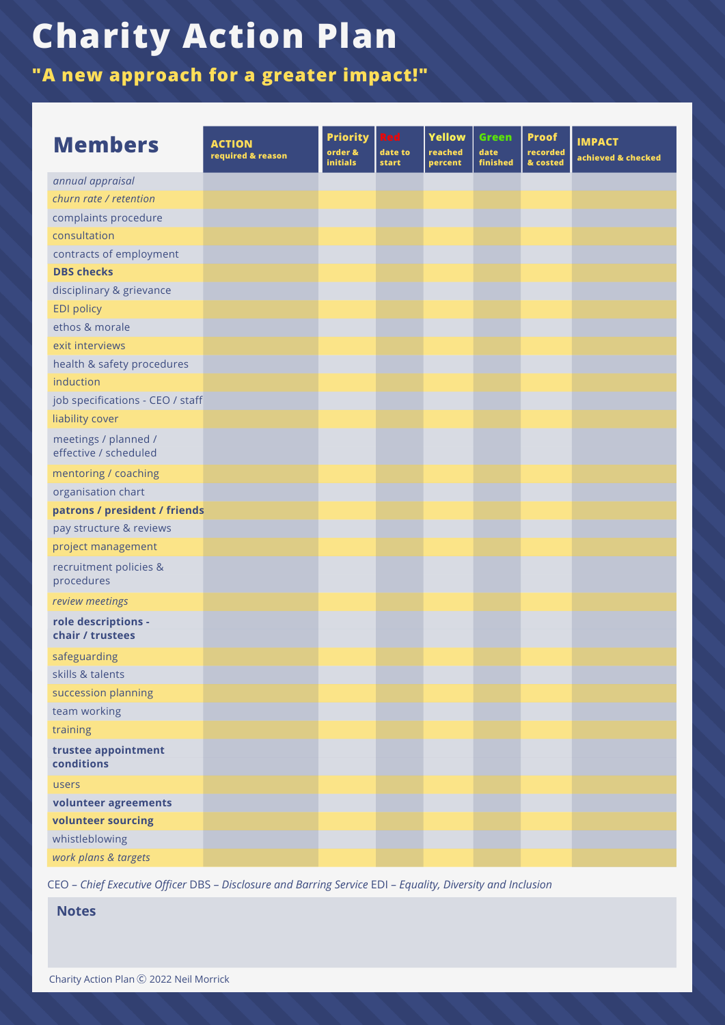**"A new approach for a greater impact!"**

| <b>Members</b>                                | <b>ACTION</b><br>required & reason | <b>Priority</b><br>order &<br><b>initials</b> | Red<br>date to<br><b>start</b> | Yellow<br>reached<br>percent | <b>Green</b><br>date<br>finished | <b>Proof</b><br>recorded<br>& costed | <b>IMPACT</b><br>achieved & checked |
|-----------------------------------------------|------------------------------------|-----------------------------------------------|--------------------------------|------------------------------|----------------------------------|--------------------------------------|-------------------------------------|
| annual appraisal                              |                                    |                                               |                                |                              |                                  |                                      |                                     |
| churn rate / retention                        |                                    |                                               |                                |                              |                                  |                                      |                                     |
| complaints procedure                          |                                    |                                               |                                |                              |                                  |                                      |                                     |
| consultation                                  |                                    |                                               |                                |                              |                                  |                                      |                                     |
| contracts of employment                       |                                    |                                               |                                |                              |                                  |                                      |                                     |
| <b>DBS</b> checks                             |                                    |                                               |                                |                              |                                  |                                      |                                     |
| disciplinary & grievance                      |                                    |                                               |                                |                              |                                  |                                      |                                     |
| <b>EDI policy</b>                             |                                    |                                               |                                |                              |                                  |                                      |                                     |
| ethos & morale                                |                                    |                                               |                                |                              |                                  |                                      |                                     |
| exit interviews                               |                                    |                                               |                                |                              |                                  |                                      |                                     |
| health & safety procedures                    |                                    |                                               |                                |                              |                                  |                                      |                                     |
| induction                                     |                                    |                                               |                                |                              |                                  |                                      |                                     |
| job specifications - CEO / staff              |                                    |                                               |                                |                              |                                  |                                      |                                     |
| liability cover                               |                                    |                                               |                                |                              |                                  |                                      |                                     |
| meetings / planned /<br>effective / scheduled |                                    |                                               |                                |                              |                                  |                                      |                                     |
| mentoring / coaching                          |                                    |                                               |                                |                              |                                  |                                      |                                     |
| organisation chart                            |                                    |                                               |                                |                              |                                  |                                      |                                     |
| patrons / president / friends                 |                                    |                                               |                                |                              |                                  |                                      |                                     |
| pay structure & reviews                       |                                    |                                               |                                |                              |                                  |                                      |                                     |
| project management                            |                                    |                                               |                                |                              |                                  |                                      |                                     |
| recruitment policies &<br>procedures          |                                    |                                               |                                |                              |                                  |                                      |                                     |
| review meetings                               |                                    |                                               |                                |                              |                                  |                                      |                                     |
| role descriptions -<br>chair / trustees       |                                    |                                               |                                |                              |                                  |                                      |                                     |
| safeguarding                                  |                                    |                                               |                                |                              |                                  |                                      |                                     |
| skills & talents                              |                                    |                                               |                                |                              |                                  |                                      |                                     |
| succession planning                           |                                    |                                               |                                |                              |                                  |                                      |                                     |
| team working                                  |                                    |                                               |                                |                              |                                  |                                      |                                     |
| training                                      |                                    |                                               |                                |                              |                                  |                                      |                                     |
| trustee appointment<br>conditions             |                                    |                                               |                                |                              |                                  |                                      |                                     |
| users                                         |                                    |                                               |                                |                              |                                  |                                      |                                     |
| volunteer agreements                          |                                    |                                               |                                |                              |                                  |                                      |                                     |
| volunteer sourcing                            |                                    |                                               |                                |                              |                                  |                                      |                                     |
| whistleblowing                                |                                    |                                               |                                |                              |                                  |                                      |                                     |
| work plans & targets                          |                                    |                                               |                                |                              |                                  |                                      |                                     |

CEO – *Chief Executive Officer* DBS – *Disclosure and Barring Service* EDI – *Equality, Diversity and Inclusion*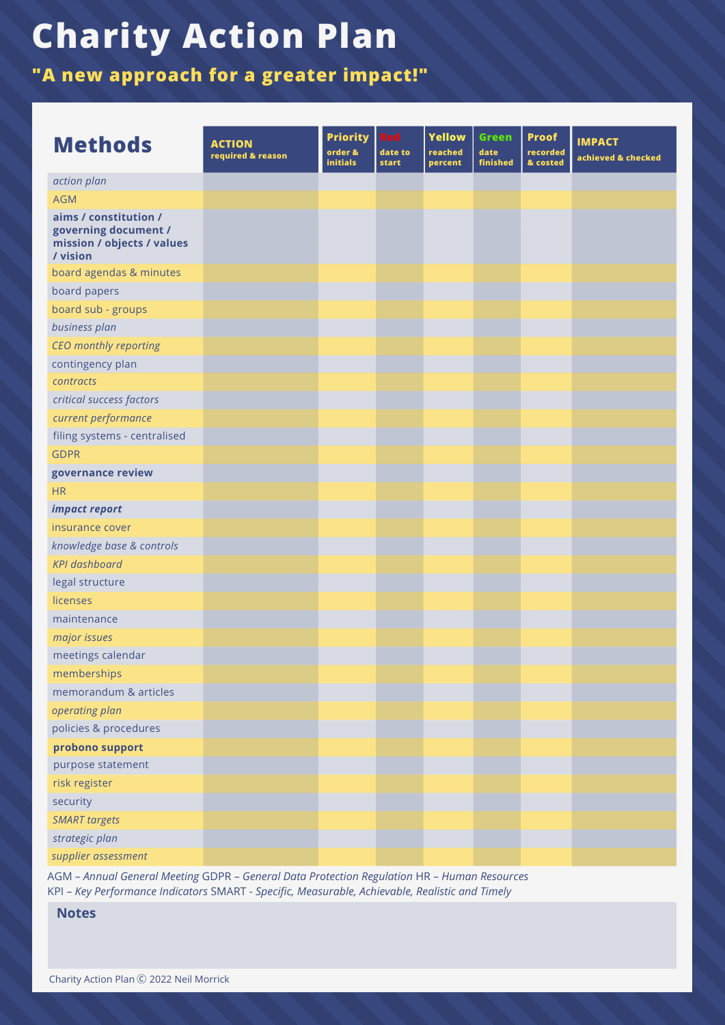**"A new approach for a greater impact!"**

| <b>Methods</b>                                                                          | <b>ACTION</b><br>required & reason | <b>Priority</b><br>order &<br><b>initials</b> | Red<br>date to<br>start | <b>Yellow</b><br>reached<br>percent | <b>Green</b><br>date<br>finished | <b>Proof</b><br>recorded<br>& costed | <b>IMPACT</b><br>achieved & checked |
|-----------------------------------------------------------------------------------------|------------------------------------|-----------------------------------------------|-------------------------|-------------------------------------|----------------------------------|--------------------------------------|-------------------------------------|
| action plan                                                                             |                                    |                                               |                         |                                     |                                  |                                      |                                     |
| <b>AGM</b>                                                                              |                                    |                                               |                         |                                     |                                  |                                      |                                     |
| aims / constitution /<br>governing document /<br>mission / objects / values<br>/ vision |                                    |                                               |                         |                                     |                                  |                                      |                                     |
| board agendas & minutes                                                                 |                                    |                                               |                         |                                     |                                  |                                      |                                     |
| board papers                                                                            |                                    |                                               |                         |                                     |                                  |                                      |                                     |
| board sub - groups                                                                      |                                    |                                               |                         |                                     |                                  |                                      |                                     |
| business plan                                                                           |                                    |                                               |                         |                                     |                                  |                                      |                                     |
| CEO monthly reporting                                                                   |                                    |                                               |                         |                                     |                                  |                                      |                                     |
| contingency plan                                                                        |                                    |                                               |                         |                                     |                                  |                                      |                                     |
| contracts                                                                               |                                    |                                               |                         |                                     |                                  |                                      |                                     |
| critical success factors                                                                |                                    |                                               |                         |                                     |                                  |                                      |                                     |
| current performance                                                                     |                                    |                                               |                         |                                     |                                  |                                      |                                     |
| filing systems - centralised                                                            |                                    |                                               |                         |                                     |                                  |                                      |                                     |
| <b>GDPR</b>                                                                             |                                    |                                               |                         |                                     |                                  |                                      |                                     |
| governance review                                                                       |                                    |                                               |                         |                                     |                                  |                                      |                                     |
| <b>HR</b>                                                                               |                                    |                                               |                         |                                     |                                  |                                      |                                     |
| impact report                                                                           |                                    |                                               |                         |                                     |                                  |                                      |                                     |
| insurance cover                                                                         |                                    |                                               |                         |                                     |                                  |                                      |                                     |
| knowledge base & controls                                                               |                                    |                                               |                         |                                     |                                  |                                      |                                     |
| <b>KPI</b> dashboard                                                                    |                                    |                                               |                         |                                     |                                  |                                      |                                     |
| legal structure                                                                         |                                    |                                               |                         |                                     |                                  |                                      |                                     |
| licenses                                                                                |                                    |                                               |                         |                                     |                                  |                                      |                                     |
| maintenance                                                                             |                                    |                                               |                         |                                     |                                  |                                      |                                     |
| major issues                                                                            |                                    |                                               |                         |                                     |                                  |                                      |                                     |
| meetings calendar                                                                       |                                    |                                               |                         |                                     |                                  |                                      |                                     |
| memberships                                                                             |                                    |                                               |                         |                                     |                                  |                                      |                                     |
| memorandum & articles                                                                   |                                    |                                               |                         |                                     |                                  |                                      |                                     |
| operating plan                                                                          |                                    |                                               |                         |                                     |                                  |                                      |                                     |
| policies & procedures                                                                   |                                    |                                               |                         |                                     |                                  |                                      |                                     |
| probono support                                                                         |                                    |                                               |                         |                                     |                                  |                                      |                                     |
| purpose statement                                                                       |                                    |                                               |                         |                                     |                                  |                                      |                                     |
| risk register                                                                           |                                    |                                               |                         |                                     |                                  |                                      |                                     |
| security                                                                                |                                    |                                               |                         |                                     |                                  |                                      |                                     |
| <b>SMART</b> targets                                                                    |                                    |                                               |                         |                                     |                                  |                                      |                                     |
| strategic plan                                                                          |                                    |                                               |                         |                                     |                                  |                                      |                                     |
| supplier assessment                                                                     |                                    |                                               |                         |                                     |                                  |                                      |                                     |

AGM – *Annual General Meeting* GDPR – *General Data Protection Regulation* HR – *Human Resources* KPI – *Key Performance Indicators* SMART - *Specific, Measurable, Achievable, Realistic and Timely*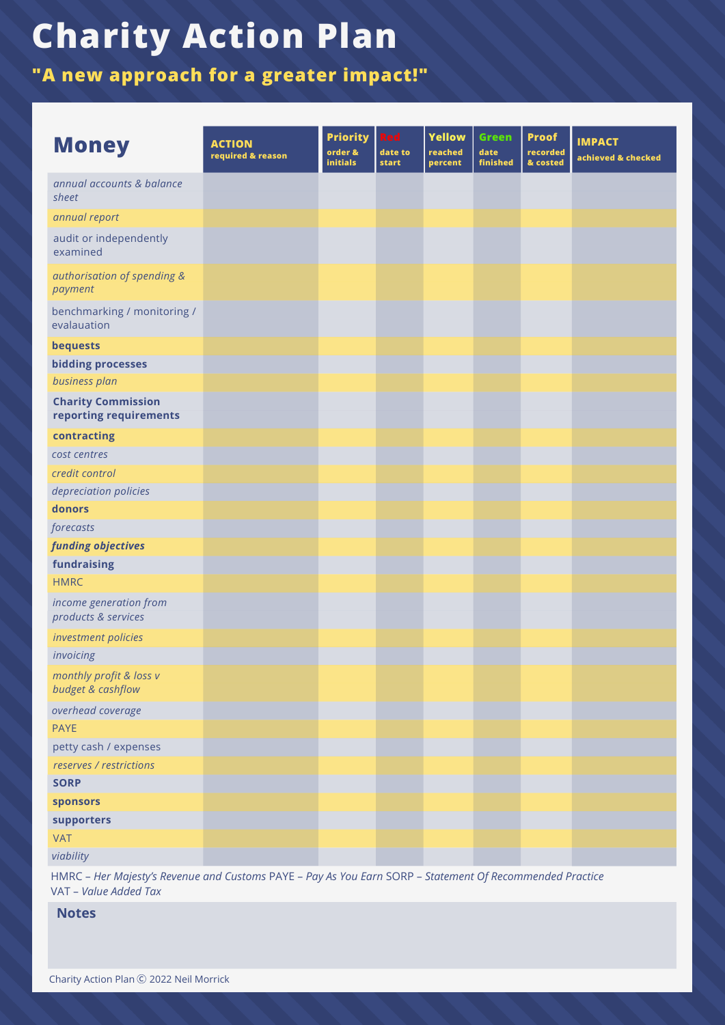**"A new approach for a greater impact!"**

| <b>Money</b>                                        | <b>ACTION</b><br>required & reason | <b>Priority</b><br>order &<br><b>initials</b> | <b>Red</b><br>date to<br><b>start</b> | <b>Yellow</b><br>reached<br>percent | <b>Green</b><br>date<br>finished | <b>Proof</b><br>recorded<br>& costed | <b>IMPACT</b><br>achieved & checked |
|-----------------------------------------------------|------------------------------------|-----------------------------------------------|---------------------------------------|-------------------------------------|----------------------------------|--------------------------------------|-------------------------------------|
| annual accounts & balance<br>sheet                  |                                    |                                               |                                       |                                     |                                  |                                      |                                     |
| annual report                                       |                                    |                                               |                                       |                                     |                                  |                                      |                                     |
| audit or independently<br>examined                  |                                    |                                               |                                       |                                     |                                  |                                      |                                     |
| authorisation of spending &<br>payment              |                                    |                                               |                                       |                                     |                                  |                                      |                                     |
| benchmarking / monitoring /<br>evalauation          |                                    |                                               |                                       |                                     |                                  |                                      |                                     |
| bequests                                            |                                    |                                               |                                       |                                     |                                  |                                      |                                     |
| <b>bidding processes</b>                            |                                    |                                               |                                       |                                     |                                  |                                      |                                     |
| business plan                                       |                                    |                                               |                                       |                                     |                                  |                                      |                                     |
| <b>Charity Commission</b><br>reporting requirements |                                    |                                               |                                       |                                     |                                  |                                      |                                     |
| contracting                                         |                                    |                                               |                                       |                                     |                                  |                                      |                                     |
| cost centres                                        |                                    |                                               |                                       |                                     |                                  |                                      |                                     |
| credit control                                      |                                    |                                               |                                       |                                     |                                  |                                      |                                     |
| depreciation policies                               |                                    |                                               |                                       |                                     |                                  |                                      |                                     |
| donors                                              |                                    |                                               |                                       |                                     |                                  |                                      |                                     |
| forecasts                                           |                                    |                                               |                                       |                                     |                                  |                                      |                                     |
| funding objectives                                  |                                    |                                               |                                       |                                     |                                  |                                      |                                     |
| fundraising                                         |                                    |                                               |                                       |                                     |                                  |                                      |                                     |
| <b>HMRC</b>                                         |                                    |                                               |                                       |                                     |                                  |                                      |                                     |
| income generation from<br>products & services       |                                    |                                               |                                       |                                     |                                  |                                      |                                     |
| investment policies                                 |                                    |                                               |                                       |                                     |                                  |                                      |                                     |
| invoicing                                           |                                    |                                               |                                       |                                     |                                  |                                      |                                     |
| monthly profit & loss v<br>budget & cashflow        |                                    |                                               |                                       |                                     |                                  |                                      |                                     |
| overhead coverage                                   |                                    |                                               |                                       |                                     |                                  |                                      |                                     |
| <b>PAYE</b>                                         |                                    |                                               |                                       |                                     |                                  |                                      |                                     |
| petty cash / expenses                               |                                    |                                               |                                       |                                     |                                  |                                      |                                     |
| reserves / restrictions                             |                                    |                                               |                                       |                                     |                                  |                                      |                                     |
| <b>SORP</b>                                         |                                    |                                               |                                       |                                     |                                  |                                      |                                     |
| sponsors                                            |                                    |                                               |                                       |                                     |                                  |                                      |                                     |
| supporters                                          |                                    |                                               |                                       |                                     |                                  |                                      |                                     |
| <b>VAT</b>                                          |                                    |                                               |                                       |                                     |                                  |                                      |                                     |
| viability                                           |                                    |                                               |                                       |                                     |                                  |                                      |                                     |

HMRC – *Her Majesty's Revenue and Customs* PAYE – *Pay As You Earn* SORP – *Statement Of Recommended Practice* VAT – *Value Added Tax*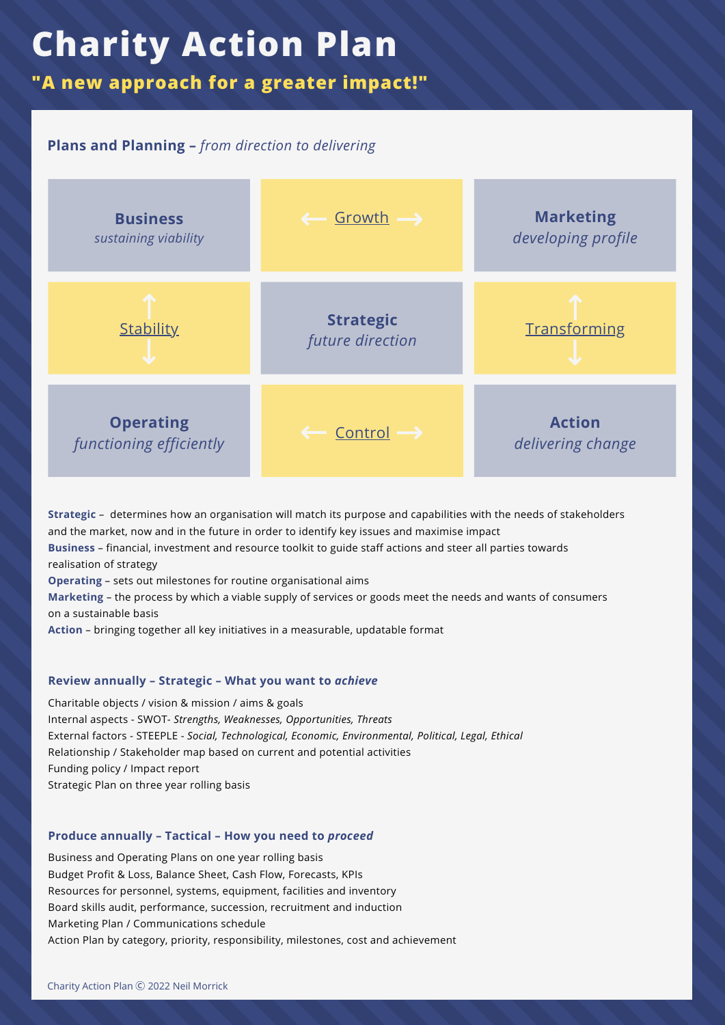**"A new approach for a greater impact!"**

### **Plans and Planning –** *from direction to delivering*



**Strategic** – determines how an organisation will match its purpose and capabilities with the needs of stakeholders and the market, now and in the future in order to identify key issues and maximise impact **Business** – financial, investment and resource toolkit to guide staff actions and steer all parties towards realisation of strategy **Operating** – sets out milestones for routine organisational aims **Marketing** – the process by which a viable supply of services or goods meet the needs and wants of consumers on a sustainable basis **Action** – bringing together all key initiatives in a measurable, updatable format

#### **Review annually – Strategic – What you want to** *achieve*

Charitable objects / vision & mission / aims & goals Internal aspects -SWOT- *Strengths, Weaknesses, Opportunities, Threats* External factors -STEEPLE - *Social, Technological, Economic, Environmental, Political, Legal, Ethical* Relationship / Stakeholder map based on current and potential activities Funding policy / Impact report Strategic Plan on three year rolling basis

### **Produce annually – Tactical – How you need to** *proceed*

Business and Operating Plans on one year rolling basis Budget Profit & Loss, Balance Sheet, Cash Flow, Forecasts, KPIs Resources for personnel, systems, equipment, facilities and inventory Board skills audit, performance, succession, recruitment and induction Marketing Plan / Communications schedule Action Plan by category, priority, responsibility, milestones, cost and achievement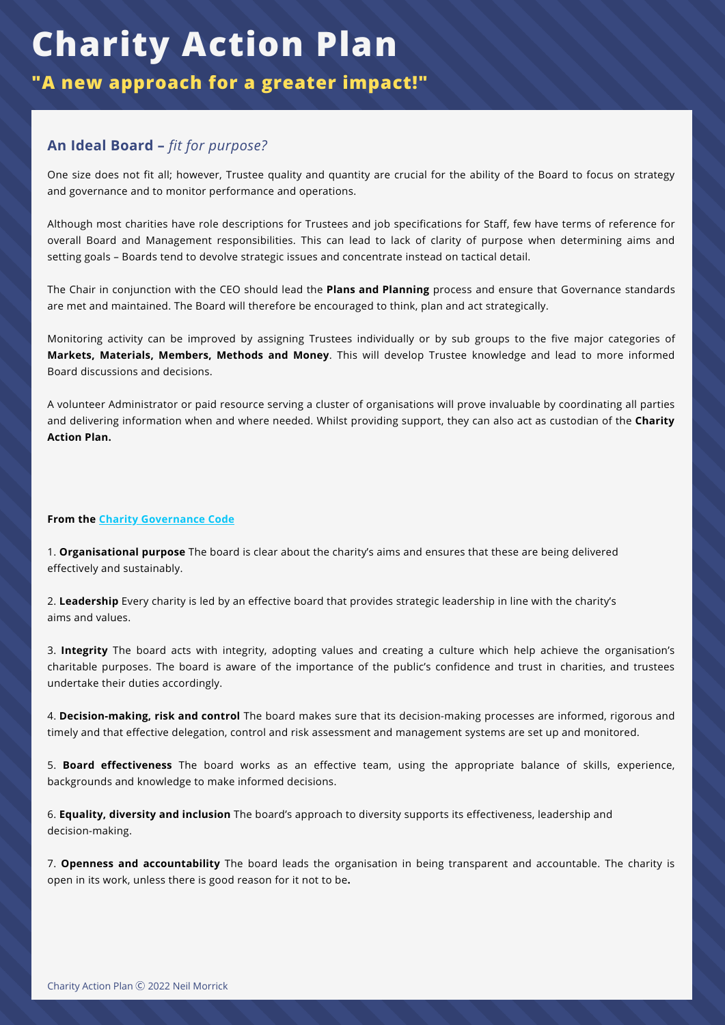**"A new approach for a greater impact!"**

### **An Ideal Board –** *fit for purpose?*

One size does not fit all; however, Trustee quality and quantity are crucial for the ability of the Board to focus on strategy and governance and to monitor performance and operations.

Although most charities have role descriptions for Trustees and job specifications for Staff, few have terms of reference for overall Board and Management responsibilities. This can lead to lack of clarity of purpose when determining aims and setting goals – Boards tend to devolve strategic issues and concentrate instead on tactical detail.

The Chair in conjunction with the CEO should lead the **Plans and Planning** process and ensure that Governance standards are met and maintained. The Board will therefore be encouraged to think, plan and act strategically.

Monitoring activity can be improved by assigning Trustees individually or by sub groups to the five major categories of **Markets, Materials, Members, Methods and Money**. This will develop Trustee knowledge and lead to more informed Board discussions and decisions.

A volunteer Administrator or paid resource serving a cluster of organisations will prove invaluable by coordinating all parties and delivering information when and where needed. Whilst providing support, they can also act as custodian of the **Charity Action Plan.**

#### **From the Charity [Governance](https://www.charitygovernancecode.org/en) Code**

1. **Organisational purpose** The board is clear about the charity's aims and ensures that these are being delivered effectively and sustainably.

2. **Leadership** Every charity is led by an effective board that provides strategic leadership in line with the charity's aims and values.

3. **Integrity** The board acts with integrity, adopting values and creating a culture which help achieve the organisation's charitable purposes. The board is aware of the importance of the public's confidence and trust in charities, and trustees undertake their duties accordingly.

4. **Decision-making, risk and control** The board makes sure that its decision-making processes are informed, rigorous and timely and that effective delegation, control and risk assessment and management systems are set up and monitored.

5. **Board effectiveness** The board works as an effective team, using the appropriate balance of skills, experience, backgrounds and knowledge to make informed decisions.

6. **Equality, diversity and inclusion** The board's approach to diversity supports its effectiveness, leadership and decision-making.

7. **Openness and accountability** The board leads the organisation in being transparent and accountable. The charity is open in its work, unless there is good reason for it not to be**.**